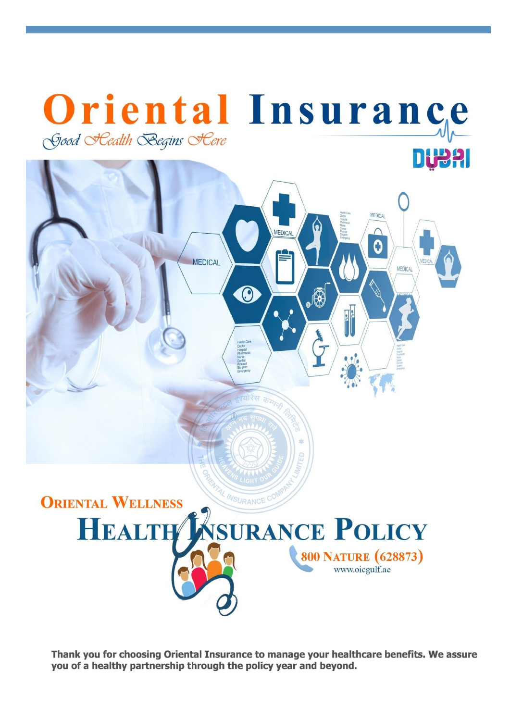



Thank you for choosing Oriental Insurance to manage your healthcare benefits. We assure you of a healthy partnership through the policy year and beyond.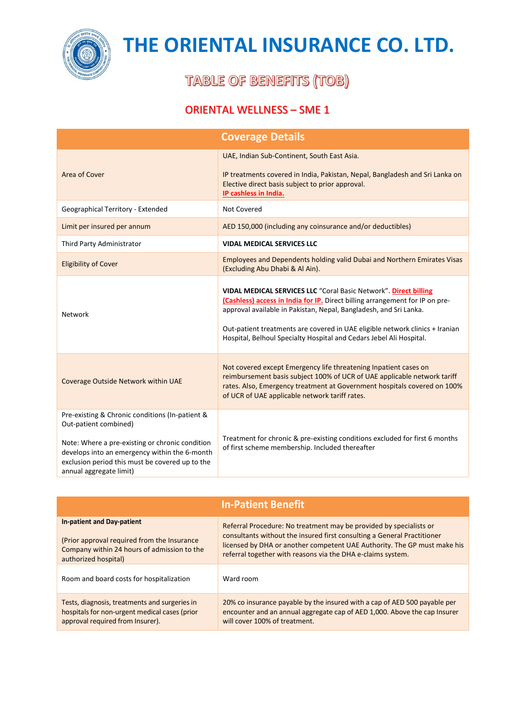

### **TABLE OF BENEFITS (TOB)**

#### ORIENTAL WELLNESS – SME 1

|                                                                                                                                                                                                                                                            | <b>Coverage Details</b>                                                                                                                                                                                                                                                                                                                                                      |
|------------------------------------------------------------------------------------------------------------------------------------------------------------------------------------------------------------------------------------------------------------|------------------------------------------------------------------------------------------------------------------------------------------------------------------------------------------------------------------------------------------------------------------------------------------------------------------------------------------------------------------------------|
| Area of Cover                                                                                                                                                                                                                                              | UAE, Indian Sub-Continent, South East Asia.<br>IP treatments covered in India, Pakistan, Nepal, Bangladesh and Sri Lanka on<br>Elective direct basis subject to prior approval.<br>IP cashless in India.                                                                                                                                                                     |
| Geographical Territory - Extended                                                                                                                                                                                                                          | Not Covered                                                                                                                                                                                                                                                                                                                                                                  |
| Limit per insured per annum                                                                                                                                                                                                                                | AED 150,000 (including any coinsurance and/or deductibles)                                                                                                                                                                                                                                                                                                                   |
| Third Party Administrator                                                                                                                                                                                                                                  | <b>VIDAL MEDICAL SERVICES LLC</b>                                                                                                                                                                                                                                                                                                                                            |
| <b>Eligibility of Cover</b>                                                                                                                                                                                                                                | Employees and Dependents holding valid Dubai and Northern Emirates Visas<br>(Excluding Abu Dhabi & Al Ain).                                                                                                                                                                                                                                                                  |
| <b>Network</b>                                                                                                                                                                                                                                             | VIDAL MEDICAL SERVICES LLC "Coral Basic Network". Direct billing<br>(Cashless) access in India for IP. Direct billing arrangement for IP on pre-<br>approval available in Pakistan, Nepal, Bangladesh, and Sri Lanka.<br>Out-patient treatments are covered in UAE eligible network clinics + Iranian<br>Hospital, Belhoul Specialty Hospital and Cedars Jebel Ali Hospital. |
| Coverage Outside Network within UAE                                                                                                                                                                                                                        | Not covered except Emergency life threatening Inpatient cases on<br>reimbursement basis subject 100% of UCR of UAE applicable network tariff<br>rates. Also, Emergency treatment at Government hospitals covered on 100%<br>of UCR of UAE applicable network tariff rates.                                                                                                   |
| Pre-existing & Chronic conditions (In-patient &<br>Out-patient combined)<br>Note: Where a pre-existing or chronic condition<br>develops into an emergency within the 6-month<br>exclusion period this must be covered up to the<br>annual aggregate limit) | Treatment for chronic & pre-existing conditions excluded for first 6 months<br>of first scheme membership. Included thereafter                                                                                                                                                                                                                                               |

|                                               | <b>In-Patient Benefit</b>                                                 |
|-----------------------------------------------|---------------------------------------------------------------------------|
| <b>In-patient and Day-patient</b>             | Referral Procedure: No treatment may be provided by specialists or        |
| (Prior approval required from the Insurance   | consultants without the insured first consulting a General Practitioner   |
| Company within 24 hours of admission to the   | licensed by DHA or another competent UAE Authority. The GP must make his  |
| authorized hospital)                          | referral together with reasons via the DHA e-claims system.               |
| Room and board costs for hospitalization      | Ward room                                                                 |
| Tests, diagnosis, treatments and surgeries in | 20% co insurance payable by the insured with a cap of AED 500 payable per |
| hospitals for non-urgent medical cases (prior | encounter and an annual aggregate cap of AED 1,000. Above the cap Insurer |
| approval required from Insurer).              | will cover 100% of treatment.                                             |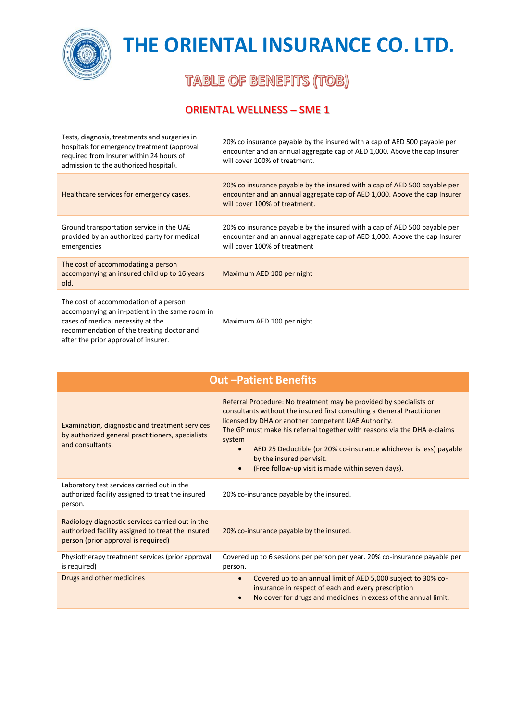

### **TABLE OF BENEFITS (TOB)**

#### ORIENTAL WELLNESS – SME 1

| Tests, diagnosis, treatments and surgeries in<br>hospitals for emergency treatment (approval<br>required from Insurer within 24 hours of<br>admission to the authorized hospital).                                | 20% co insurance payable by the insured with a cap of AED 500 payable per<br>encounter and an annual aggregate cap of AED 1,000. Above the cap Insurer<br>will cover 100% of treatment. |
|-------------------------------------------------------------------------------------------------------------------------------------------------------------------------------------------------------------------|-----------------------------------------------------------------------------------------------------------------------------------------------------------------------------------------|
| Healthcare services for emergency cases.                                                                                                                                                                          | 20% co insurance payable by the insured with a cap of AED 500 payable per<br>encounter and an annual aggregate cap of AED 1,000. Above the cap Insurer<br>will cover 100% of treatment. |
| Ground transportation service in the UAE<br>provided by an authorized party for medical<br>emergencies                                                                                                            | 20% co insurance payable by the insured with a cap of AED 500 payable per<br>encounter and an annual aggregate cap of AED 1,000. Above the cap Insurer<br>will cover 100% of treatment  |
| The cost of accommodating a person<br>accompanying an insured child up to 16 years<br>old.                                                                                                                        | Maximum AED 100 per night                                                                                                                                                               |
| The cost of accommodation of a person<br>accompanying an in-patient in the same room in<br>cases of medical necessity at the<br>recommendation of the treating doctor and<br>after the prior approval of insurer. | Maximum AED 100 per night                                                                                                                                                               |

| <b>Out-Patient Benefits</b>                                                                                                                  |                                                                                                                                                                                                                                                                                                                                                                                                                                                                |  |
|----------------------------------------------------------------------------------------------------------------------------------------------|----------------------------------------------------------------------------------------------------------------------------------------------------------------------------------------------------------------------------------------------------------------------------------------------------------------------------------------------------------------------------------------------------------------------------------------------------------------|--|
| Examination, diagnostic and treatment services<br>by authorized general practitioners, specialists<br>and consultants.                       | Referral Procedure: No treatment may be provided by specialists or<br>consultants without the insured first consulting a General Practitioner<br>licensed by DHA or another competent UAE Authority.<br>The GP must make his referral together with reasons via the DHA e-claims<br>system<br>AED 25 Deductible (or 20% co-insurance whichever is less) payable<br>$\bullet$<br>by the insured per visit.<br>(Free follow-up visit is made within seven days). |  |
| Laboratory test services carried out in the<br>authorized facility assigned to treat the insured<br>person.                                  | 20% co-insurance payable by the insured.                                                                                                                                                                                                                                                                                                                                                                                                                       |  |
| Radiology diagnostic services carried out in the<br>authorized facility assigned to treat the insured<br>person (prior approval is required) | 20% co-insurance payable by the insured.                                                                                                                                                                                                                                                                                                                                                                                                                       |  |
| Physiotherapy treatment services (prior approval<br>is required)                                                                             | Covered up to 6 sessions per person per year. 20% co-insurance payable per<br>person.                                                                                                                                                                                                                                                                                                                                                                          |  |
| Drugs and other medicines                                                                                                                    | Covered up to an annual limit of AED 5,000 subject to 30% co-<br>$\bullet$<br>insurance in respect of each and every prescription<br>No cover for drugs and medicines in excess of the annual limit.                                                                                                                                                                                                                                                           |  |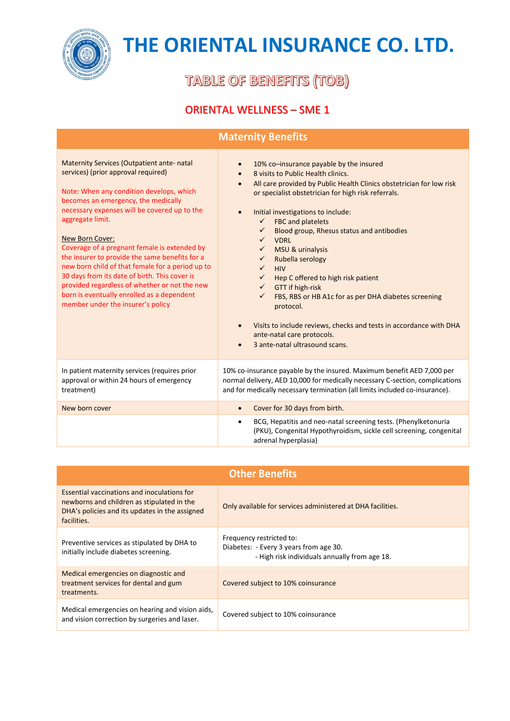

**TABLE OF BENEFITS (TOB)** 

#### ORIENTAL WELLNESS – SME 1

| <b>Maternity Benefits</b>                                                                                                                                                                                                                                                                                                                                                                                                                                                                                                                                                                                     |                                                                                                                                                                                                                                                                                                                                                                                                                                                                                                                                                                                                                                                                                                                                                                                                                                                                                 |
|---------------------------------------------------------------------------------------------------------------------------------------------------------------------------------------------------------------------------------------------------------------------------------------------------------------------------------------------------------------------------------------------------------------------------------------------------------------------------------------------------------------------------------------------------------------------------------------------------------------|---------------------------------------------------------------------------------------------------------------------------------------------------------------------------------------------------------------------------------------------------------------------------------------------------------------------------------------------------------------------------------------------------------------------------------------------------------------------------------------------------------------------------------------------------------------------------------------------------------------------------------------------------------------------------------------------------------------------------------------------------------------------------------------------------------------------------------------------------------------------------------|
| <b>Maternity Services (Outpatient ante- natal</b><br>services) (prior approval required)<br>Note: When any condition develops, which<br>becomes an emergency, the medically<br>necessary expenses will be covered up to the<br>aggregate limit.<br>New Born Cover:<br>Coverage of a pregnant female is extended by<br>the insurer to provide the same benefits for a<br>new born child of that female for a period up to<br>30 days from its date of birth. This cover is<br>provided regardless of whether or not the new<br>born is eventually enrolled as a dependent<br>member under the insurer's policy | 10% co-insurance payable by the insured<br>$\bullet$<br>8 visits to Public Health clinics.<br>$\bullet$<br>All care provided by Public Health Clinics obstetrician for low risk<br>$\bullet$<br>or specialist obstetrician for high risk referrals.<br>Initial investigations to include:<br>$\bullet$<br>$\checkmark$<br>FBC and platelets<br>$\checkmark$<br>Blood group, Rhesus status and antibodies<br>$\checkmark$<br><b>VDRL</b><br>MSU & urinalysis<br>$\checkmark$<br>Rubella serology<br>$\checkmark$<br>$\checkmark$<br><b>HIV</b><br>$\checkmark$<br>Hep C offered to high risk patient<br>GTT if high-risk<br>$\checkmark$<br>FBS, RBS or HB A1c for as per DHA diabetes screening<br>$\checkmark$<br>protocol.<br>Visits to include reviews, checks and tests in accordance with DHA<br>$\bullet$<br>ante-natal care protocols.<br>3 ante-natal ultrasound scans. |
| In patient maternity services (requires prior<br>approval or within 24 hours of emergency<br>treatment)                                                                                                                                                                                                                                                                                                                                                                                                                                                                                                       | 10% co-insurance payable by the insured. Maximum benefit AED 7,000 per<br>normal delivery, AED 10,000 for medically necessary C-section, complications<br>and for medically necessary termination (all limits included co-insurance).                                                                                                                                                                                                                                                                                                                                                                                                                                                                                                                                                                                                                                           |
| New born cover                                                                                                                                                                                                                                                                                                                                                                                                                                                                                                                                                                                                | Cover for 30 days from birth.<br>$\bullet$                                                                                                                                                                                                                                                                                                                                                                                                                                                                                                                                                                                                                                                                                                                                                                                                                                      |
|                                                                                                                                                                                                                                                                                                                                                                                                                                                                                                                                                                                                               | BCG, Hepatitis and neo-natal screening tests. (Phenylketonuria<br>$\bullet$<br>(PKU), Congenital Hypothyroidism, sickle cell screening, congenital<br>adrenal hyperplasia)                                                                                                                                                                                                                                                                                                                                                                                                                                                                                                                                                                                                                                                                                                      |

| <b>Other Benefits</b>                                                                                                                                      |                                                                                                                     |
|------------------------------------------------------------------------------------------------------------------------------------------------------------|---------------------------------------------------------------------------------------------------------------------|
| Essential vaccinations and inoculations for<br>newborns and children as stipulated in the<br>DHA's policies and its updates in the assigned<br>facilities. | Only available for services administered at DHA facilities.                                                         |
| Preventive services as stipulated by DHA to<br>initially include diabetes screening.                                                                       | Frequency restricted to:<br>Diabetes: - Every 3 years from age 30.<br>- High risk individuals annually from age 18. |
| Medical emergencies on diagnostic and<br>treatment services for dental and gum<br>treatments.                                                              | Covered subject to 10% coinsurance                                                                                  |
| Medical emergencies on hearing and vision aids,<br>and vision correction by surgeries and laser.                                                           | Covered subject to 10% coinsurance                                                                                  |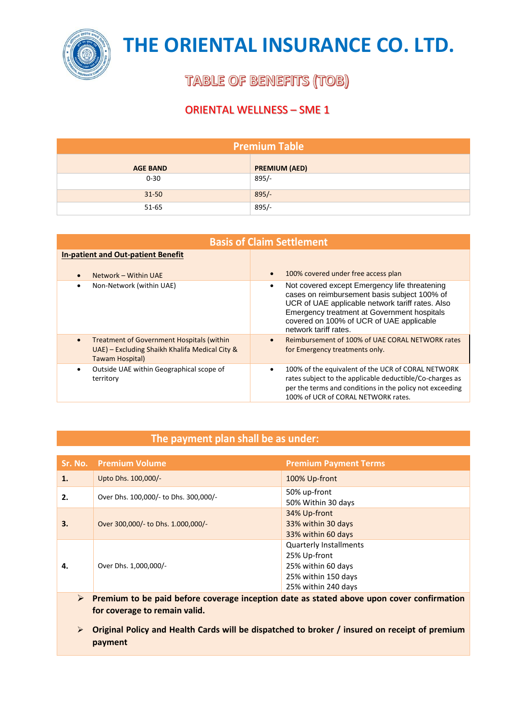

### **TABLE OF BENEFITS (TOB)**

#### ORIENTAL WELLNESS – SME 1

| <b>Premium Table</b> |                      |
|----------------------|----------------------|
| <b>AGE BAND</b>      | <b>PREMIUM (AED)</b> |
| $0 - 30$             | $895/-$              |
| $31 - 50$            | $895/-$              |
| $51 - 65$            | $895/-$              |

| <b>Basis of Claim Settlement</b>                                                                                      |                                                                                                                                                                                                                                                                                   |
|-----------------------------------------------------------------------------------------------------------------------|-----------------------------------------------------------------------------------------------------------------------------------------------------------------------------------------------------------------------------------------------------------------------------------|
| <b>In-patient and Out-patient Benefit</b>                                                                             |                                                                                                                                                                                                                                                                                   |
| Network - Within UAE                                                                                                  | 100% covered under free access plan                                                                                                                                                                                                                                               |
| Non-Network (within UAE)                                                                                              | Not covered except Emergency life threatening<br>٠<br>cases on reimbursement basis subject 100% of<br>UCR of UAE applicable network tariff rates. Also<br><b>Emergency treatment at Government hospitals</b><br>covered on 100% of UCR of UAE applicable<br>network tariff rates. |
| <b>Treatment of Government Hospitals (within</b><br>UAE) – Excluding Shaikh Khalifa Medical City &<br>Tawam Hospital) | Reimbursement of 100% of UAE CORAL NETWORK rates<br>for Emergency treatments only.                                                                                                                                                                                                |
| Outside UAE within Geographical scope of<br>territory                                                                 | 100% of the equivalent of the UCR of CORAL NETWORK<br>٠<br>rates subject to the applicable deductible/Co-charges as<br>per the terms and conditions in the policy not exceeding<br>100% of UCR of CORAL NETWORK rates.                                                            |

#### **The payment plan shall be as under:**

|                                                                                                                    | Sr. No. Premium Volume                | <b>Premium Payment Terms</b>                                                                                      |
|--------------------------------------------------------------------------------------------------------------------|---------------------------------------|-------------------------------------------------------------------------------------------------------------------|
| 1.                                                                                                                 | Upto Dhs. 100,000/-                   | 100% Up-front                                                                                                     |
| 2.                                                                                                                 | Over Dhs. 100,000/- to Dhs. 300,000/- | 50% up-front<br>50% Within 30 days                                                                                |
| 3.                                                                                                                 | Over 300,000/- to Dhs. 1.000,000/-    | 34% Up-front<br>33% within 30 days<br>33% within 60 days                                                          |
| 4.                                                                                                                 | Over Dhs. 1,000,000/-                 | <b>Quarterly Installments</b><br>25% Up-front<br>25% within 60 days<br>25% within 150 days<br>25% within 240 days |
| Premium to be paid before coverage inception date as stated above upon cover confirmation<br>$\blacktriangleright$ |                                       |                                                                                                                   |

- **for coverage to remain valid.**
- ➢ **Original Policy and Health Cards will be dispatched to broker / insured on receipt of premium payment**